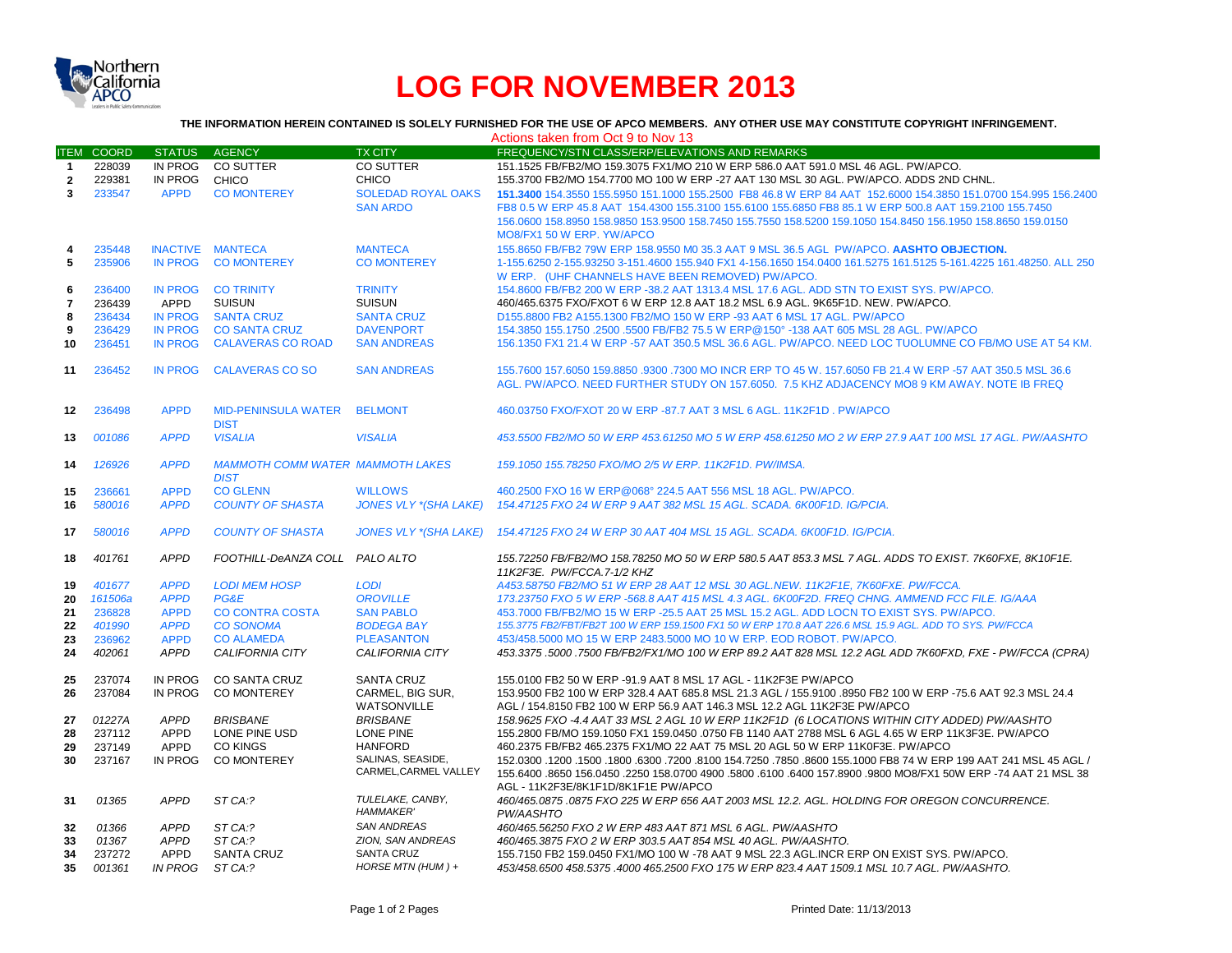

## **LOG FOR NOVEMBER 2013**

**THE INFORMATION HEREIN CONTAINED IS SOLELY FURNISHED FOR THE USE OF APCO MEMBERS. ANY OTHER USE MAY CONSTITUTE COPYRIGHT INFRINGEMENT.**

|                |                   |                |                                         |                              | Actions taken from Oct 9 to Nov 13                                                                                                                    |
|----------------|-------------------|----------------|-----------------------------------------|------------------------------|-------------------------------------------------------------------------------------------------------------------------------------------------------|
|                | <b>ITEM COORD</b> | <b>STATUS</b>  | <b>AGENCY</b>                           | <b>TX CITY</b>               | FREQUENCY/STN CLASS/ERP/ELEVATIONS AND REMARKS                                                                                                        |
| $\mathbf{1}$   | 228039            | IN PROG        | CO SUTTER                               | <b>CO SUTTER</b>             | 151.1525 FB/FB2/MO 159.3075 FX1/MO 210 W ERP 586.0 AAT 591.0 MSL 46 AGL. PW/APCO.                                                                     |
| $\overline{2}$ | 229381            | IN PROG        | CHICO                                   | CHICO                        | 155.3700 FB2/MO 154.7700 MO 100 W ERP -27 AAT 130 MSL 30 AGL. PW/APCO, ADDS 2ND CHNL.                                                                 |
| $\mathbf{3}$   | 233547            | <b>APPD</b>    | <b>CO MONTEREY</b>                      | <b>SOLEDAD ROYAL OAKS</b>    | 151,3400 154,3550 155,5950 151,1000 155,2500 FB8 46.8 W ERP 84 AAT 152,6000 154,3850 151,0700 154,995 156,2400                                        |
|                |                   |                |                                         | <b>SAN ARDO</b>              | FB8 0.5 W ERP 45.8 AAT 154.4300 155.3100 155.6100 155.6850 FB8 85.1 W ERP 500.8 AAT 159.2100 155.7450                                                 |
|                |                   |                |                                         |                              | 156.0600 158.8950 158.9850 153.9500 158.7450 155.7550 158.5200 159.1050 154.8450 156.1950 158.8650 159.0150                                           |
|                |                   |                |                                         |                              | MO8/FX1 50 W ERP. YW/APCO                                                                                                                             |
| 4              | 235448            |                | INACTIVE MANTECA                        | <b>MANTECA</b>               | 155.8650 FB/FB2 79W ERP 158.9550 M0 35.3 AAT 9 MSL 36.5 AGL PW/APCO. AASHTO OBJECTION.                                                                |
| 5              | 235906            | <b>IN PROG</b> | <b>CO MONTEREY</b>                      | <b>CO MONTEREY</b>           | 1-155.6250 2-155.93250 3-151.4600 155.940 FX1 4-156.1650 154.0400 161.5275 161.5125 5-161.4225 161.48250. ALL 250                                     |
|                |                   |                |                                         |                              | W ERP. (UHF CHANNELS HAVE BEEN REMOVED) PW/APCO.                                                                                                      |
|                | 236400            | <b>IN PROG</b> | <b>CO TRINITY</b>                       | <b>TRINITY</b>               | 154.8600 FB/FB2 200 W ERP -38.2 AAT 1313.4 MSL 17.6 AGL. ADD STN TO EXIST SYS. PW/APCO.                                                               |
| 6              |                   |                | <b>SUISUN</b>                           | <b>SUISUN</b>                | 460/465.6375 FXO/FXOT 6 W ERP 12.8 AAT 18.2 MSL 6.9 AGL, 9K65F1D, NEW, PW/APCO,                                                                       |
| $\overline{7}$ | 236439            | APPD           |                                         |                              |                                                                                                                                                       |
| 8              | 236434            | <b>IN PROG</b> | <b>SANTA CRUZ</b>                       | <b>SANTA CRUZ</b>            | D155.8800 FB2 A155.1300 FB2/MO 150 W ERP -93 AAT 6 MSL 17 AGL. PW/APCO                                                                                |
| 9              | 236429            | <b>IN PROG</b> | <b>CO SANTA CRUZ</b>                    | <b>DAVENPORT</b>             | 154.3850 155.1750 .2500 .5500 FB/FB2 75.5 W ERP@150° -138 AAT 605 MSL 28 AGL. PW/APCO                                                                 |
| 10             | 236451            | <b>IN PROG</b> | <b>CALAVERAS CO ROAD</b>                | <b>SAN ANDREAS</b>           | 156.1350 FX1 21.4 W ERP -57 AAT 350.5 MSL 36.6 AGL. PW/APCO, NEED LOC TUOLUMNE CO FB/MO USE AT 54 KM.                                                 |
| 11             | 236452            | <b>IN PROG</b> | <b>CALAVERAS CO SO</b>                  | <b>SAN ANDREAS</b>           | 155,7600 157,6050 159,8850 .9300 .7300 MO INCR ERP TO 45 W, 157,6050 FB 21.4 W ERP -57 AAT 350.5 MSL 36.6                                             |
|                |                   |                |                                         |                              | AGL. PW/APCO. NEED FURTHER STUDY ON 157.6050. 7.5 KHZ ADJACENCY MO8 9 KM AWAY. NOTE IB FREQ                                                           |
|                |                   |                |                                         |                              |                                                                                                                                                       |
| $12 \,$        | 236498            | <b>APPD</b>    | <b>MID-PENINSULA WATER</b>              | <b>BELMONT</b>               | 460.03750 FXO/FXOT 20 W ERP -87.7 AAT 3 MSL 6 AGL. 11K2F1D. PW/APCO                                                                                   |
|                |                   |                | <b>DIST</b>                             |                              |                                                                                                                                                       |
| 13             | 001086            | <b>APPD</b>    | <b>VISALIA</b>                          | <b>VISALIA</b>               | 453.5500 FB2/MO 50 W ERP 453.61250 MO 5 W ERP 458.61250 MO 2 W ERP 27.9 AAT 100 MSL 17 AGL. PW/AASHTO                                                 |
| 14             | 126926            | <b>APPD</b>    | <b>MAMMOTH COMM WATER MAMMOTH LAKES</b> |                              | 159.1050 155.78250 FXO/MO 2/5 W ERP. 11K2F1D. PW/IMSA.                                                                                                |
|                |                   |                | <b>DIST</b>                             |                              |                                                                                                                                                       |
| 15             | 236661            | <b>APPD</b>    | <b>CO GLENN</b>                         | <b>WILLOWS</b>               | 460.2500 FXO 16 W ERP@068° 224.5 AAT 556 MSL 18 AGL, PW/APCO.                                                                                         |
| 16             | 580016            | <b>APPD</b>    | <b>COUNTY OF SHASTA</b>                 | <b>JONES VLY *(SHA LAKE)</b> | 154.47125 FXO 24 W ERP 9 AAT 382 MSL 15 AGL. SCADA. 6K00F1D. IG/PCIA.                                                                                 |
|                |                   |                |                                         |                              |                                                                                                                                                       |
| 17             | 580016            | <b>APPD</b>    | <b>COUNTY OF SHASTA</b>                 | <b>JONES VLY *(SHA LAKE)</b> | 154.47125 FXO 24 W ERP 30 AAT 404 MSL 15 AGL. SCADA. 6K00F1D. IG/PCIA.                                                                                |
|                | 401761            | <b>APPD</b>    | FOOTHILL-DeANZA COLL PALO ALTO          |                              |                                                                                                                                                       |
| 18             |                   |                |                                         |                              | 155.72250 FB/FB2/MO 158.78250 MO 50 W ERP 580.5 AAT 853.3 MSL 7 AGL. ADDS TO EXIST. 7K60FXE. 8K10F1E.                                                 |
|                | 401677            | <b>APPD</b>    | <b>LODI MEM HOSP</b>                    | <b>LODI</b>                  | 11K2F3E. PW/FCCA.7-1/2 KHZ<br>A453.58750 FB2/MO 51 W ERP 28 AAT 12 MSL 30 AGL.NEW. 11K2F1E. 7K60FXE. PW/FCCA.                                         |
| 19             |                   | <b>APPD</b>    | <b>PG&amp;E</b>                         | <b>OROVILLE</b>              | 173.23750 FXO 5 W ERP -568.8 AAT 415 MSL 4.3 AGL. 6K00F2D. FREQ CHNG. AMMEND FCC FILE. IG/AAA                                                         |
| 20             | 161506a           |                | <b>CO CONTRA COSTA</b>                  | <b>SAN PABLO</b>             | 453,7000 FB/FB2/MO 15 W ERP -25.5 AAT 25 MSL 15.2 AGL. ADD LOCN TO EXIST SYS. PW/APCO.                                                                |
| 21             | 236828            | <b>APPD</b>    |                                         |                              | 155.3775 FB2/FBT/FB2T 100 W ERP 159.1500 FX1 50 W ERP 170.8 AAT 226.6 MSL 15.9 AGL. ADD TO SYS. PW/FCCA                                               |
| 22             | 401990            | <b>APPD</b>    | <b>CO SONOMA</b>                        | <b>BODEGA BAY</b>            |                                                                                                                                                       |
| 23             | 236962            | <b>APPD</b>    | <b>CO ALAMEDA</b>                       | <b>PLEASANTON</b>            | 453/458.5000 MO 15 W ERP 2483.5000 MO 10 W ERP. EOD ROBOT. PW/APCO.                                                                                   |
| 24             | 402061            | <b>APPD</b>    | <b>CALIFORNIA CITY</b>                  | <b>CALIFORNIA CITY</b>       | 453.3375 .5000 .7500 FB/FB2/FX1/MO 100 W ERP 89.2 AAT 828 MSL 12.2 AGL ADD 7K60FXD. FXE - PW/FCCA (CPRA)                                              |
| 25             | 237074            | <b>IN PROG</b> | <b>CO SANTA CRUZ</b>                    | <b>SANTA CRUZ</b>            | 155,0100 FB2 50 W ERP -91.9 AAT 8 MSL 17 AGL - 11K2F3E PW/APCO                                                                                        |
| 26             | 237084            | <b>IN PROG</b> | <b>CO MONTEREY</b>                      | CARMEL, BIG SUR,             | 153,9500 FB2 100 W ERP 328.4 AAT 685.8 MSL 21.3 AGL / 155,9100 .8950 FB2 100 W ERP -75.6 AAT 92.3 MSL 24.4                                            |
|                |                   |                |                                         | <b>WATSONVILLE</b>           | AGL / 154.8150 FB2 100 W ERP 56.9 AAT 146.3 MSL 12.2 AGL 11K2F3E PW/APCO                                                                              |
| 27             | 01227A            | <b>APPD</b>    | <b>BRISBANE</b>                         | <b>BRISBANE</b>              | 158.9625 FXO -4.4 AAT 33 MSL 2 AGL 10 W ERP 11K2F1D (6 LOCATIONS WITHIN CITY ADDED) PW/AASHTO                                                         |
| 28             | 237112            | <b>APPD</b>    | LONE PINE USD                           | <b>LONE PINE</b>             | 155.2800 FB/MO 159.1050 FX1 159.0450 .0750 FB 1140 AAT 2788 MSL 6 AGL 4.65 W ERP 11K3F3E, PW/APCO                                                     |
| 29             | 237149            | APPD           | CO KINGS                                | <b>HANFORD</b>               | 460.2375 FB/FB2 465.2375 FX1/MO 22 AAT 75 MSL 20 AGL 50 W ERP 11K0F3E. PW/APCO                                                                        |
| 30             | 237167            | IN PROG        | <b>CO MONTEREY</b>                      | SALINAS, SEASIDE,            | 150. 45 AGL / 152.0300 .1200 .1500 .1600 .6300 .7200 .8100 154.7250 .7850 .8600 155.1000 FB8 74 W ERP 199 AAT 241 MSL 45 AGL                          |
|                |                   |                |                                         | CARMEL, CARMEL VALLEY        | 155.6400 .8650 156.0450 .2250 158.0700 4900 .5800 .6100 .6400 157.8900 .9800 MO8/FX1 50W ERP -74 AAT 21 MSL 38<br>AGL - 11K2F3E/8K1F1D/8K1F1E PW/APCO |
| 31             | 01365             | <b>APPD</b>    | ST CA:?                                 | TULELAKE, CANBY,             | 460/465.0875 .0875 FXO 225 W ERP 656 AAT 2003 MSL 12.2. AGL. HOLDING FOR OREGON CONCURRENCE.                                                          |
|                |                   |                |                                         | <b>HAMMAKER'</b>             | PW/AASHTO                                                                                                                                             |
| 32             | 01366             | <b>APPD</b>    | ST CA:?                                 | <b>SAN ANDREAS</b>           | 460/465.56250 FXO 2 W ERP 483 AAT 871 MSL 6 AGL, PW/AASHTO                                                                                            |
| 33             | 01367             | <b>APPD</b>    | ST CA:?                                 | ZION, SAN ANDREAS            | 460/465.3875 FXO 2 W ERP 303.5 AAT 854 MSL 40 AGL. PW/AASHTO.                                                                                         |
| 34             | 237272            | APPD           | <b>SANTA CRUZ</b>                       | <b>SANTA CRUZ</b>            | 155.7150 FB2 159.0450 FX1/MO 100 W -78 AAT 9 MSL 22.3 AGL.INCR ERP ON EXIST SYS. PW/APCO.                                                             |
| 35             | 001361            | <b>IN PROG</b> | ST CA:?                                 | HORSE MTN (HUM) +            | 453/458.6500 458.5375 .4000 465.2500 FXO 175 W ERP 823.4 AAT 1509.1 MSL 10.7 AGL. PW/AASHTO.                                                          |
|                |                   |                |                                         |                              |                                                                                                                                                       |